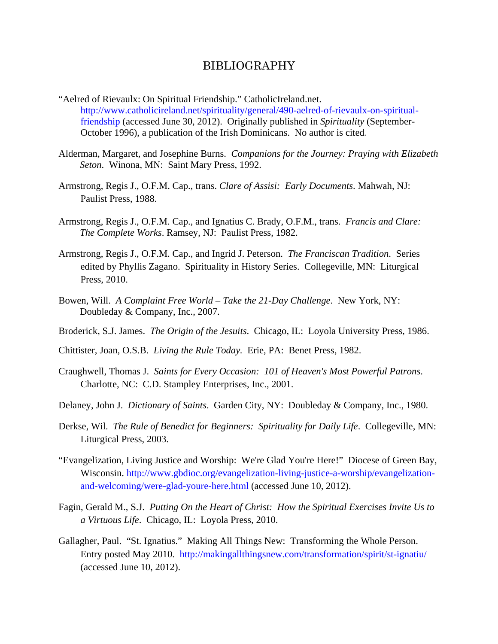## BIBLIOGRAPHY

- "Aelred of Rievaulx: On Spiritual Friendship." CatholicIreland.net. http://www.catholicireland.net/spirituality/general/490-aelred-of-rievaulx-on-spiritualfriendship (accessed June 30, 2012). Originally published in *Spirituality* (September-October 1996), a publication of the Irish Dominicans. No author is cited.
- Alderman, Margaret, and Josephine Burns. *Companions for the Journey: Praying with Elizabeth Seton*. Winona, MN: Saint Mary Press, 1992.
- Armstrong, Regis J., O.F.M. Cap., trans. *Clare of Assisi: Early Documents*. Mahwah, NJ: Paulist Press, 1988.
- Armstrong, Regis J., O.F.M. Cap., and Ignatius C. Brady, O.F.M., trans. *Francis and Clare: The Complete Works*. Ramsey, NJ: Paulist Press, 1982.
- Armstrong, Regis J., O.F.M. Cap., and Ingrid J. Peterson. *The Franciscan Tradition*. Series edited by Phyllis Zagano. Spirituality in History Series. Collegeville, MN: Liturgical Press, 2010.
- Bowen, Will. *A Complaint Free World Take the 21-Day Challenge*. New York, NY: Doubleday & Company, Inc., 2007.
- Broderick, S.J. James. *The Origin of the Jesuits*. Chicago, IL: Loyola University Press, 1986.
- Chittister, Joan, O.S.B. *Living the Rule Today.* Erie, PA: Benet Press, 1982.
- Craughwell, Thomas J. *Saints for Every Occasion: 101 of Heaven's Most Powerful Patrons*. Charlotte, NC: C.D. Stampley Enterprises, Inc., 2001.
- Delaney, John J. *Dictionary of Saints*. Garden City, NY: Doubleday & Company, Inc., 1980.
- Derkse, Wil. *The Rule of Benedict for Beginners: Spirituality for Daily Life*. Collegeville, MN: Liturgical Press, 2003.
- "Evangelization, Living Justice and Worship: We're Glad You're Here!" Diocese of Green Bay, Wisconsin. http://www.gbdioc.org/evangelization-living-justice-a-worship/evangelizationand-welcoming/were-glad-youre-here.html (accessed June 10, 2012).
- Fagin, Gerald M., S.J. *Putting On the Heart of Christ: How the Spiritual Exercises Invite Us to a Virtuous Life*. Chicago, IL: Loyola Press, 2010.
- Gallagher, Paul. "St. Ignatius." Making All Things New: Transforming the Whole Person. Entry posted May 2010. http://makingallthingsnew.com/transformation/spirit/st-ignatiu/ (accessed June 10, 2012).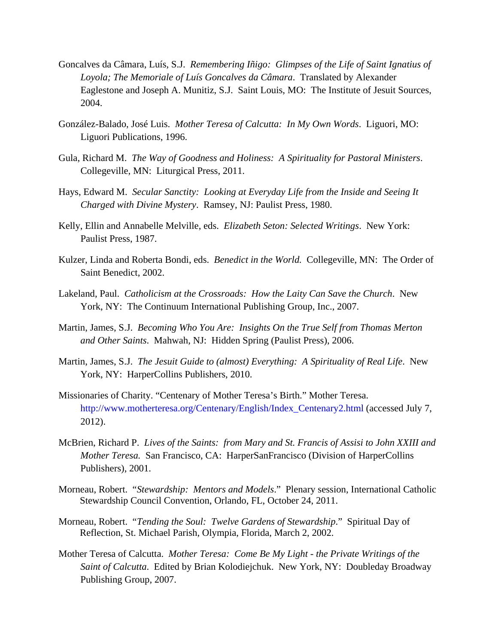- Goncalves da Câmara, Luís, S.J. *Remembering Iñigo: Glimpses of the Life of Saint Ignatius of Loyola; The Memoriale of Luís Goncalves da Câmara*. Translated by Alexander Eaglestone and Joseph A. Munitiz, S.J. Saint Louis, MO: The Institute of Jesuit Sources, 2004.
- González-Balado, José Luis. *Mother Teresa of Calcutta: In My Own Words*. Liguori, MO: Liguori Publications, 1996.
- Gula, Richard M. *The Way of Goodness and Holiness: A Spirituality for Pastoral Ministers*. Collegeville, MN: Liturgical Press, 2011.
- Hays, Edward M. *Secular Sanctity: Looking at Everyday Life from the Inside and Seeing It Charged with Divine Mystery*. Ramsey, NJ: Paulist Press, 1980.
- Kelly, Ellin and Annabelle Melville, eds. *Elizabeth Seton: Selected Writings*. New York: Paulist Press, 1987.
- Kulzer, Linda and Roberta Bondi, eds. *Benedict in the World.* Collegeville, MN: The Order of Saint Benedict, 2002.
- Lakeland, Paul. *Catholicism at the Crossroads: How the Laity Can Save the Church*. New York, NY: The Continuum International Publishing Group, Inc., 2007.
- Martin, James, S.J. *Becoming Who You Are: Insights On the True Self from Thomas Merton and Other Saints*. Mahwah, NJ: Hidden Spring (Paulist Press), 2006.
- Martin, James, S.J. *The Jesuit Guide to (almost) Everything: A Spirituality of Real Life*. New York, NY: HarperCollins Publishers, 2010.
- Missionaries of Charity. "Centenary of Mother Teresa's Birth." Mother Teresa. http://www.motherteresa.org/Centenary/English/Index\_Centenary2.html (accessed July 7, 2012).
- McBrien, Richard P. *Lives of the Saints: from Mary and St. Francis of Assisi to John XXIII and Mother Teresa.* San Francisco, CA: HarperSanFrancisco (Division of HarperCollins Publishers), 2001.
- Morneau, Robert. "*Stewardship: Mentors and Models*." Plenary session, International Catholic Stewardship Council Convention, Orlando, FL, October 24, 2011.
- Morneau, Robert. "*Tending the Soul: Twelve Gardens of Stewardship*." Spiritual Day of Reflection, St. Michael Parish, Olympia, Florida, March 2, 2002.
- Mother Teresa of Calcutta. *Mother Teresa: Come Be My Light the Private Writings of the Saint of Calcutta*. Edited by Brian Kolodiejchuk. New York, NY: Doubleday Broadway Publishing Group, 2007.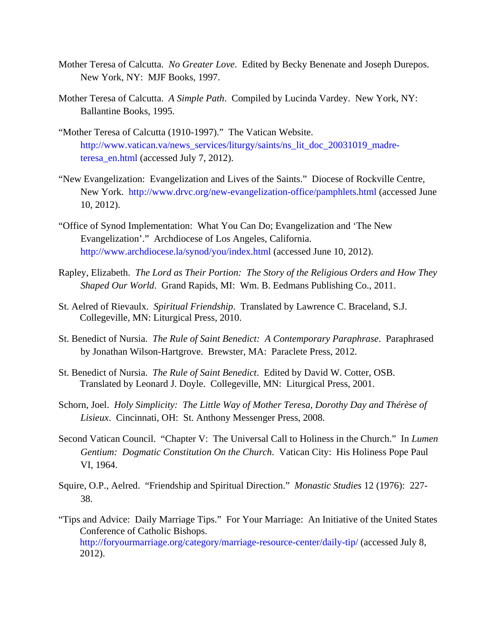- Mother Teresa of Calcutta. *No Greater Love*. Edited by Becky Benenate and Joseph Durepos. New York, NY: MJF Books, 1997.
- Mother Teresa of Calcutta. *A Simple Path*. Compiled by Lucinda Vardey. New York, NY: Ballantine Books, 1995.
- "Mother Teresa of Calcutta (1910-1997)." The Vatican Website. http://www.vatican.va/news\_services/liturgy/saints/ns\_lit\_doc\_20031019\_madreteresa\_en.html (accessed July 7, 2012).
- "New Evangelization: Evangelization and Lives of the Saints." Diocese of Rockville Centre, New York. http://www.drvc.org/new-evangelization-office/pamphlets.html (accessed June 10, 2012).
- "Office of Synod Implementation: What You Can Do; Evangelization and 'The New Evangelization'." Archdiocese of Los Angeles, California. http://www.archdiocese.la/synod/you/index.html (accessed June 10, 2012).
- Rapley, Elizabeth. *The Lord as Their Portion: The Story of the Religious Orders and How They Shaped Our World*. Grand Rapids, MI: Wm. B. Eedmans Publishing Co., 2011.
- St. Aelred of Rievaulx. *Spiritual Friendship*. Translated by Lawrence C. Braceland, S.J. Collegeville, MN: Liturgical Press, 2010.
- St. Benedict of Nursia. *The Rule of Saint Benedict: A Contemporary Paraphrase*. Paraphrased by Jonathan Wilson-Hartgrove. Brewster, MA: Paraclete Press, 2012.
- St. Benedict of Nursia. *The Rule of Saint Benedict*. Edited by David W. Cotter, OSB. Translated by Leonard J. Doyle. Collegeville, MN: Liturgical Press, 2001.
- Schorn, Joel. *Holy Simplicity: The Little Way of Mother Teresa, Dorothy Day and Thérèse of Lisieux*. Cincinnati, OH: St. Anthony Messenger Press, 2008.
- Second Vatican Council. "Chapter V: The Universal Call to Holiness in the Church." In *Lumen Gentium: Dogmatic Constitution On the Church*. Vatican City: His Holiness Pope Paul VI, 1964.
- Squire, O.P., Aelred. "Friendship and Spiritual Direction." *Monastic Studies* 12 (1976): 227- 38.
- "Tips and Advice: Daily Marriage Tips." For Your Marriage: An Initiative of the United States Conference of Catholic Bishops. http://foryourmarriage.org/category/marriage-resource-center/daily-tip/ (accessed July 8, 2012).